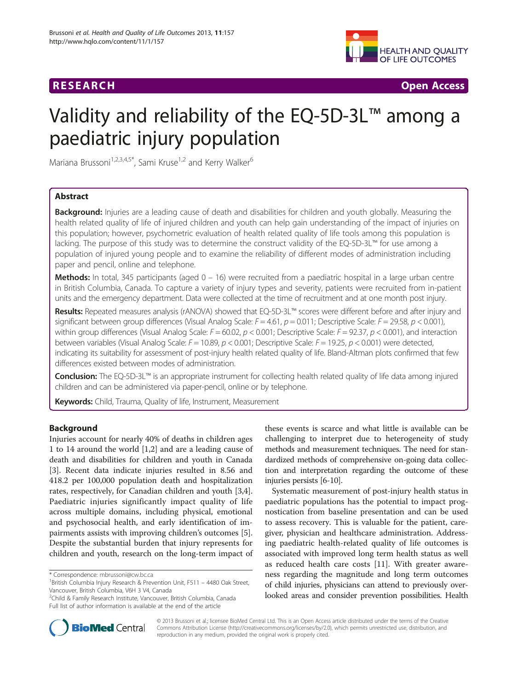# **RESEARCH RESEARCH** *CHECKER CHECKER CHECKER CHECKER CHECKER CHECKER CHECKER CHECKER CHECKER CHECKER CHECKER*



# Validity and reliability of the EQ-5D-3L™ among a paediatric injury population

Mariana Brussoni<sup>1,2,3,4,5\*</sup>, Sami Kruse<sup>1,2</sup> and Kerry Walker<sup>6</sup>

# Abstract

**Background:** Injuries are a leading cause of death and disabilities for children and youth globally. Measuring the health related quality of life of injured children and youth can help gain understanding of the impact of injuries on this population; however, psychometric evaluation of health related quality of life tools among this population is lacking. The purpose of this study was to determine the construct validity of the EQ-5D-3L™ for use among a population of injured young people and to examine the reliability of different modes of administration including paper and pencil, online and telephone.

Methods: In total, 345 participants (aged 0 – 16) were recruited from a paediatric hospital in a large urban centre in British Columbia, Canada. To capture a variety of injury types and severity, patients were recruited from in-patient units and the emergency department. Data were collected at the time of recruitment and at one month post injury.

Results: Repeated measures analysis (rANOVA) showed that EQ-5D-3L™ scores were different before and after injury and significant between group differences (Visual Analog Scale:  $F = 4.61$ ,  $p = 0.011$ ; Descriptive Scale:  $F = 29.58$ ,  $p < 0.001$ ), within group differences (Visual Analog Scale:  $F = 60.02$ ,  $p < 0.001$ ; Descriptive Scale:  $F = 92.37$ ,  $p < 0.001$ ), and interaction between variables (Visual Analog Scale:  $F = 10.89$ ,  $p < 0.001$ ; Descriptive Scale:  $F = 19.25$ ,  $p < 0.001$ ) were detected, indicating its suitability for assessment of post-injury health related quality of life. Bland-Altman plots confirmed that few differences existed between modes of administration.

Conclusion: The EQ-5D-3L™ is an appropriate instrument for collecting health related quality of life data among injured children and can be administered via paper-pencil, online or by telephone.

Keywords: Child, Trauma, Quality of life, Instrument, Measurement

# Background

Injuries account for nearly 40% of deaths in children ages 1 to 14 around the world [\[1,2](#page-7-0)] and are a leading cause of death and disabilities for children and youth in Canada [[3\]](#page-7-0). Recent data indicate injuries resulted in 8.56 and 418.2 per 100,000 population death and hospitalization rates, respectively, for Canadian children and youth [\[3,4](#page-7-0)]. Paediatric injuries significantly impact quality of life across multiple domains, including physical, emotional and psychosocial health, and early identification of impairments assists with improving children's outcomes [\[5](#page-7-0)]. Despite the substantial burden that injury represents for children and youth, research on the long-term impact of

these events is scarce and what little is available can be challenging to interpret due to heterogeneity of study methods and measurement techniques. The need for standardized methods of comprehensive on-going data collection and interpretation regarding the outcome of these injuries persists [\[6-10\]](#page-7-0).

Systematic measurement of post-injury health status in paediatric populations has the potential to impact prognostication from baseline presentation and can be used to assess recovery. This is valuable for the patient, caregiver, physician and healthcare administration. Addressing paediatric health-related quality of life outcomes is associated with improved long term health status as well as reduced health care costs [\[11](#page-7-0)]. With greater awareness regarding the magnitude and long term outcomes of child injuries, physicians can attend to previously overlooked areas and consider prevention possibilities. Health



© 2013 Brussoni et al.; licensee BioMed Central Ltd. This is an Open Access article distributed under the terms of the Creative Commons Attribution License [\(http://creativecommons.org/licenses/by/2.0\)](http://creativecommons.org/licenses/by/2.0), which permits unrestricted use, distribution, and reproduction in any medium, provided the original work is properly cited.

<sup>\*</sup> Correspondence: [mbrussoni@cw.bc.ca](mailto:mbrussoni@cw.bc.ca) <sup>1</sup>

<sup>&</sup>lt;sup>1</sup>British Columbia Injury Research & Prevention Unit, F511 - 4480 Oak Street, Vancouver, British Columbia, V6H 3 V4, Canada

<sup>&</sup>lt;sup>2</sup>Child & Family Research Institute, Vancouver, British Columbia, Canada Full list of author information is available at the end of the article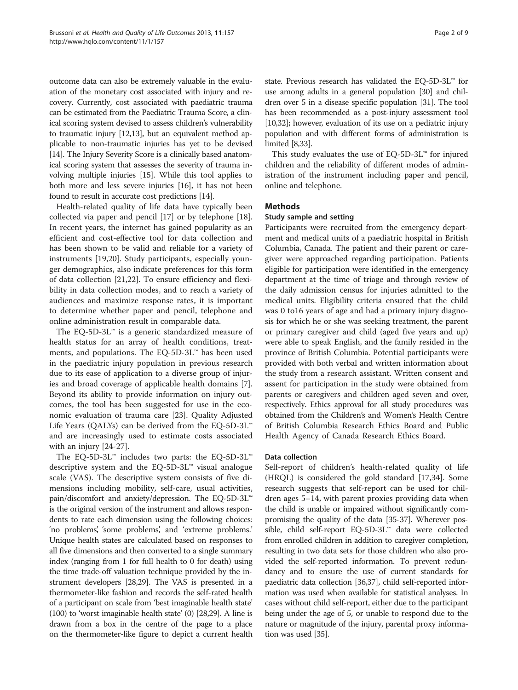outcome data can also be extremely valuable in the evaluation of the monetary cost associated with injury and recovery. Currently, cost associated with paediatric trauma can be estimated from the Paediatric Trauma Score, a clinical scoring system devised to assess children's vulnerability to traumatic injury [[12,13\]](#page-7-0), but an equivalent method applicable to non-traumatic injuries has yet to be devised [[14](#page-7-0)]. The Injury Severity Score is a clinically based anatomical scoring system that assesses the severity of trauma involving multiple injuries [[15](#page-7-0)]. While this tool applies to both more and less severe injuries [\[16\]](#page-7-0), it has not been found to result in accurate cost predictions [[14](#page-7-0)].

Health-related quality of life data have typically been collected via paper and pencil [\[17](#page-7-0)] or by telephone [\[18](#page-7-0)]. In recent years, the internet has gained popularity as an efficient and cost-effective tool for data collection and has been shown to be valid and reliable for a variety of instruments [[19,20](#page-7-0)]. Study participants, especially younger demographics, also indicate preferences for this form of data collection [[21,22](#page-7-0)]. To ensure efficiency and flexibility in data collection modes, and to reach a variety of audiences and maximize response rates, it is important to determine whether paper and pencil, telephone and online administration result in comparable data.

The EQ-5D-3L™ is a generic standardized measure of health status for an array of health conditions, treatments, and populations. The EQ-5D-3L™ has been used in the paediatric injury population in previous research due to its ease of application to a diverse group of injuries and broad coverage of applicable health domains [\[7](#page-7-0)]. Beyond its ability to provide information on injury outcomes, the tool has been suggested for use in the economic evaluation of trauma care [\[23\]](#page-7-0). Quality Adjusted Life Years (QALYs) can be derived from the EQ-5D-3L<sup>™</sup> and are increasingly used to estimate costs associated with an injury [\[24](#page-7-0)-[27](#page-7-0)].

The EQ-5D-3L™ includes two parts: the EQ-5D-3L™ descriptive system and the EQ-5D-3L™ visual analogue scale (VAS). The descriptive system consists of five dimensions including mobility, self-care, usual activities, pain/discomfort and anxiety/depression. The EQ-5D-3L™ is the original version of the instrument and allows respondents to rate each dimension using the following choices: 'no problems', 'some problems', and 'extreme problems.' Unique health states are calculated based on responses to all five dimensions and then converted to a single summary index (ranging from 1 for full health to 0 for death) using the time trade-off valuation technique provided by the instrument developers [\[28,29\]](#page-7-0). The VAS is presented in a thermometer-like fashion and records the self-rated health of a participant on scale from 'best imaginable health state' (100) to 'worst imaginable health state' (0) [[28,29\]](#page-7-0). A line is drawn from a box in the centre of the page to a place on the thermometer-like figure to depict a current health

state. Previous research has validated the EQ-5D-3L™ for use among adults in a general population [\[30](#page-7-0)] and children over 5 in a disease specific population [\[31\]](#page-7-0). The tool has been recommended as a post-injury assessment tool [[10,32\]](#page-7-0); however, evaluation of its use on a pediatric injury population and with different forms of administration is limited [\[8,33](#page-7-0)].

This study evaluates the use of  $EQ-5D-3L^{\infty}$  for injured children and the reliability of different modes of administration of the instrument including paper and pencil, online and telephone.

# Methods

#### Study sample and setting

Participants were recruited from the emergency department and medical units of a paediatric hospital in British Columbia, Canada. The patient and their parent or caregiver were approached regarding participation. Patients eligible for participation were identified in the emergency department at the time of triage and through review of the daily admission census for injuries admitted to the medical units. Eligibility criteria ensured that the child was 0 to16 years of age and had a primary injury diagnosis for which he or she was seeking treatment, the parent or primary caregiver and child (aged five years and up) were able to speak English, and the family resided in the province of British Columbia. Potential participants were provided with both verbal and written information about the study from a research assistant. Written consent and assent for participation in the study were obtained from parents or caregivers and children aged seven and over, respectively. Ethics approval for all study procedures was obtained from the Children's and Women's Health Centre of British Columbia Research Ethics Board and Public Health Agency of Canada Research Ethics Board.

#### Data collection

Self-report of children's health-related quality of life (HRQL) is considered the gold standard [\[17,34](#page-7-0)]. Some research suggests that self-report can be used for children ages 5–14, with parent proxies providing data when the child is unable or impaired without significantly compromising the quality of the data [[35](#page-7-0)-[37](#page-7-0)]. Wherever possible, child self-report EQ-5D-3L™ data were collected from enrolled children in addition to caregiver completion, resulting in two data sets for those children who also provided the self-reported information. To prevent redundancy and to ensure the use of current standards for paediatric data collection [\[36,37](#page-7-0)], child self-reported information was used when available for statistical analyses. In cases without child self-report, either due to the participant being under the age of 5, or unable to respond due to the nature or magnitude of the injury, parental proxy information was used [\[35\]](#page-7-0).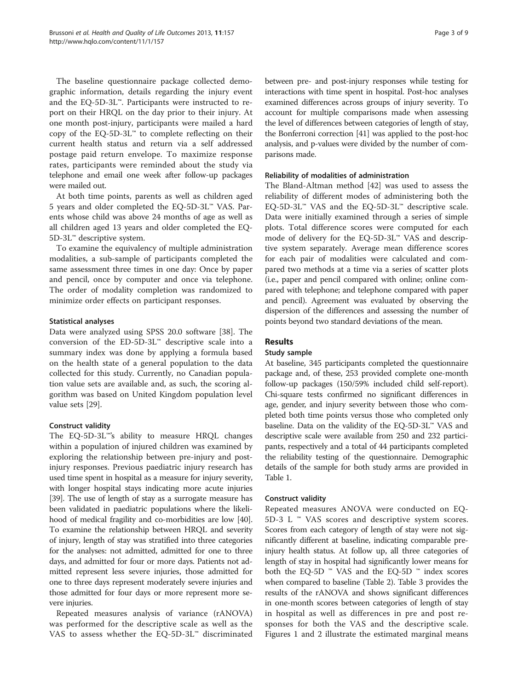The baseline questionnaire package collected demographic information, details regarding the injury event and the EQ-5D-3L™. Participants were instructed to report on their HRQL on the day prior to their injury. At one month post-injury, participants were mailed a hard copy of the EQ-5D-3L™ to complete reflecting on their current health status and return via a self addressed postage paid return envelope. To maximize response rates, participants were reminded about the study via telephone and email one week after follow-up packages were mailed out.

At both time points, parents as well as children aged 5 years and older completed the EQ-5D-3L™ VAS. Parents whose child was above 24 months of age as well as all children aged 13 years and older completed the EQ-5D-3L™ descriptive system.

To examine the equivalency of multiple administration modalities, a sub-sample of participants completed the same assessment three times in one day: Once by paper and pencil, once by computer and once via telephone. The order of modality completion was randomized to minimize order effects on participant responses.

# Statistical analyses

Data were analyzed using SPSS 20.0 software [\[38](#page-7-0)]. The conversion of the ED-5D-3L™ descriptive scale into a summary index was done by applying a formula based on the health state of a general population to the data collected for this study. Currently, no Canadian population value sets are available and, as such, the scoring algorithm was based on United Kingdom population level value sets [\[29\]](#page-7-0).

# Construct validity

The EQ-5D-3L™'s ability to measure HRQL changes within a population of injured children was examined by exploring the relationship between pre-injury and postinjury responses. Previous paediatric injury research has used time spent in hospital as a measure for injury severity, with longer hospital stays indicating more acute injuries [[39](#page-7-0)]. The use of length of stay as a surrogate measure has been validated in paediatric populations where the likelihood of medical fragility and co-morbidities are low [\[40](#page-7-0)]. To examine the relationship between HRQL and severity of injury, length of stay was stratified into three categories for the analyses: not admitted, admitted for one to three days, and admitted for four or more days. Patients not admitted represent less severe injuries, those admitted for one to three days represent moderately severe injuries and those admitted for four days or more represent more severe injuries.

Repeated measures analysis of variance (rANOVA) was performed for the descriptive scale as well as the VAS to assess whether the EQ-5D-3L™ discriminated between pre- and post-injury responses while testing for interactions with time spent in hospital. Post-hoc analyses examined differences across groups of injury severity. To account for multiple comparisons made when assessing the level of differences between categories of length of stay, the Bonferroni correction [[41](#page-8-0)] was applied to the post-hoc analysis, and p-values were divided by the number of comparisons made.

# Reliability of modalities of administration

The Bland-Altman method [[42](#page-8-0)] was used to assess the reliability of different modes of administering both the EQ-5D-3L™ VAS and the EQ-5D-3L™ descriptive scale. Data were initially examined through a series of simple plots. Total difference scores were computed for each mode of delivery for the EQ-5D-3L™ VAS and descriptive system separately. Average mean difference scores for each pair of modalities were calculated and compared two methods at a time via a series of scatter plots (i.e., paper and pencil compared with online; online compared with telephone; and telephone compared with paper and pencil). Agreement was evaluated by observing the dispersion of the differences and assessing the number of points beyond two standard deviations of the mean.

# Results

#### Study sample

At baseline, 345 participants completed the questionnaire package and, of these, 253 provided complete one-month follow-up packages (150/59% included child self-report). Chi-square tests confirmed no significant differences in age, gender, and injury severity between those who completed both time points versus those who completed only baseline. Data on the validity of the EQ-5D-3L™ VAS and descriptive scale were available from 250 and 232 participants, respectively and a total of 44 participants completed the reliability testing of the questionnaire. Demographic details of the sample for both study arms are provided in Table [1](#page-3-0).

#### Construct validity

Repeated measures ANOVA were conducted on EQ-5D-3 L ™ VAS scores and descriptive system scores. Scores from each category of length of stay were not significantly different at baseline, indicating comparable preinjury health status. At follow up, all three categories of length of stay in hospital had significantly lower means for both the EQ-5D  $<sup>™</sup>$  VAS and the EQ-5D  $<sup>™</sup>$  index scores</sup></sup> when compared to baseline (Table [2](#page-3-0)). Table [3](#page-3-0) provides the results of the rANOVA and shows significant differences in one-month scores between categories of length of stay in hospital as well as differences in pre and post responses for both the VAS and the descriptive scale. Figures [1](#page-4-0) and [2](#page-4-0) illustrate the estimated marginal means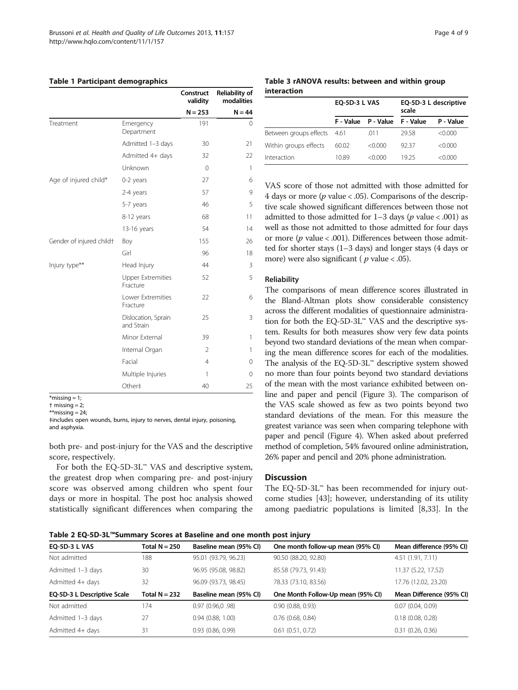#### <span id="page-3-0"></span>Table 1 Participant demographics

|                          |                                      | Construct<br>validity | <b>Reliability of</b><br>modalities<br>$N = 44$ |
|--------------------------|--------------------------------------|-----------------------|-------------------------------------------------|
|                          |                                      | $N = 253$             |                                                 |
| Treatment                | Emergency<br>Department              | 191                   | $\Omega$                                        |
|                          | Admitted 1-3 days                    | 30                    | 21                                              |
|                          | Admitted 4+ days                     | 32                    | 22                                              |
|                          | Unknown                              | $\Omega$              | 1                                               |
| Age of injured child*    | 0-2 years                            | 27                    | 6                                               |
|                          | 2-4 years                            | 57                    | 9                                               |
|                          | 5-7 years                            | 46                    | 5                                               |
|                          | 8-12 years                           | 68                    | 11                                              |
|                          | 13-16 years                          | 54                    | 14                                              |
| Gender of injured childt | Boy                                  | 155                   | 26                                              |
|                          | Girl                                 | 96                    | 18                                              |
| Injury type**            | Head Injury                          | 44                    | 3                                               |
|                          | <b>Upper Extremities</b><br>Fracture | 52                    | 5                                               |
|                          | Lower Extremities<br>Fracture        | 22                    | 6                                               |
|                          | Dislocation, Sprain<br>and Strain    | 25                    | 3                                               |
|                          | Minor External                       | 39                    | 1                                               |
|                          | Internal Organ                       | $\mathfrak{D}$        | $\mathbf{1}$                                    |
|                          | Facial                               | $\overline{4}$        | 0                                               |
|                          | Multiple Injuries                    | 1                     | 0                                               |
|                          | Other#                               | 40                    | 25                                              |

 $*$ missing = 1;

both pre- and post-injury for the VAS and the descriptive score, respectively.

For both the EQ-5D-3L™ VAS and descriptive system, the greatest drop when comparing pre- and post-injury score was observed among children who spent four days or more in hospital. The post hoc analysis showed statistically significant differences when comparing the

#### Table 3 rANOVA results: between and within group interaction

|                        | <b>EQ-5D-3 L VAS</b> |                     | EQ-5D-3 L descriptive<br>scale |           |
|------------------------|----------------------|---------------------|--------------------------------|-----------|
|                        |                      | F - Value P - Value | F - Value                      | P - Value |
| Between groups effects | - 4.61               | .011                | 29.58                          | < 0.000   |
| Within groups effects  | 60.02                | < 0.000             | 9237                           | < 0.000   |
| Interaction            | 10.89                | $<$ 0.000           | 19 25                          | < 0.000   |

VAS score of those not admitted with those admitted for 4 days or more ( $p$  value < .05). Comparisons of the descriptive scale showed significant differences between those not admitted to those admitted for  $1-3$  days (p value < .001) as well as those not admitted to those admitted for four days or more ( $p$  value < .001). Differences between those admitted for shorter stays (1–3 days) and longer stays (4 days or more) were also significant ( $p$  value < .05).

#### Reliability

The comparisons of mean difference scores illustrated in the Bland-Altman plots show considerable consistency across the different modalities of questionnaire administration for both the EQ-5D-3L™ VAS and the descriptive system. Results for both measures show very few data points beyond two standard deviations of the mean when comparing the mean difference scores for each of the modalities. The analysis of the EQ-5D-3L™ descriptive system showed no more than four points beyond two standard deviations of the mean with the most variance exhibited between online and paper and pencil (Figure [3](#page-5-0)). The comparison of the VAS scale showed as few as two points beyond two standard deviations of the mean. For this measure the greatest variance was seen when comparing telephone with paper and pencil (Figure [4](#page-5-0)). When asked about preferred method of completion, 54% favoured online administration, 26% paper and pencil and 20% phone administration.

# **Discussion**

The EQ-5D-3L™ has been recommended for injury outcome studies [[43](#page-8-0)]; however, understanding of its utility among paediatric populations is limited [\[8,33](#page-7-0)]. In the

Table 2 EQ-5D-3L™Summary Scores at Baseline and one month post injury

| <b>EO-5D-3 L VAS</b>        | Total $N = 250$ | Baseline mean (95% CI) | One month follow-up mean (95% CI) | Mean difference (95% CI) |
|-----------------------------|-----------------|------------------------|-----------------------------------|--------------------------|
| Not admitted                | 188             | 95.01 (93.79, 96.23)   | 90.50 (88.20, 92.80)              | 4.51 (1.91, 7.11)        |
| Admitted 1-3 days           | 30              | 96.95 (95.08, 98.82)   | 85.58 (79.73, 91.43)              | 11.37 (5.22, 17.52)      |
| Admitted 4+ days            | 32              | 96.09 (93.73, 98.45)   | 78.33 (73.10, 83.56)              | 17.76 (12.02, 23.20)     |
| EQ-5D-3 L Descriptive Scale | Total $N = 232$ | Baseline mean (95% CI) | One Month Follow-Up mean (95% CI) | Mean Difference (95% CI) |
| Not admitted                | 174             | 0.97(0.96,0.98)        | 0.90(0.88, 0.93)                  | 0.07(0.04, 0.09)         |
| Admitted 1-3 days           | 27              | 0.94(0.88, 1.00)       | $0.76$ (0.68, 0.84)               | 0.18(0.08, 0.28)         |
| Admitted 4+ days            | 31              | 0.93(0.86, 0.99)       | 0.61(0.51, 0.72)                  | 0.31(0.26, 0.36)         |

 $\dagger$  missing = 2:

 $**$ missing = 24;

<sup>‡</sup>includes open wounds, burns, injury to nerves, dental injury, poisoning, and asphyxia.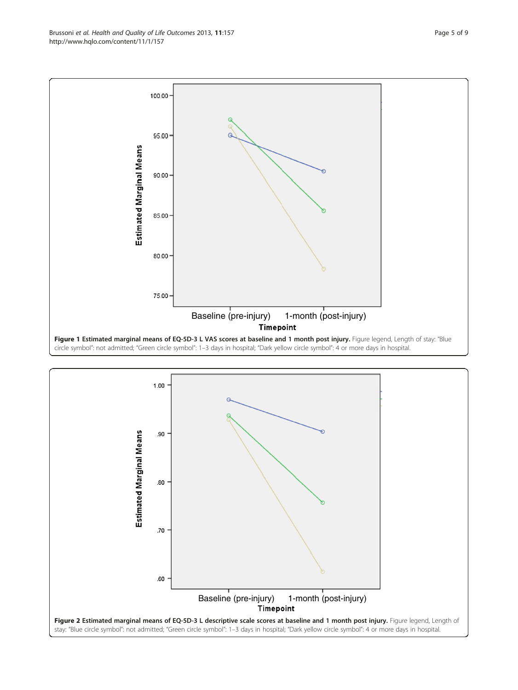<span id="page-4-0"></span>Brussoni et al. Health and Quality of Life Outcomes 2013, 11:157 Page 5 of 9 http://www.hqlo.com/content/11/1/157



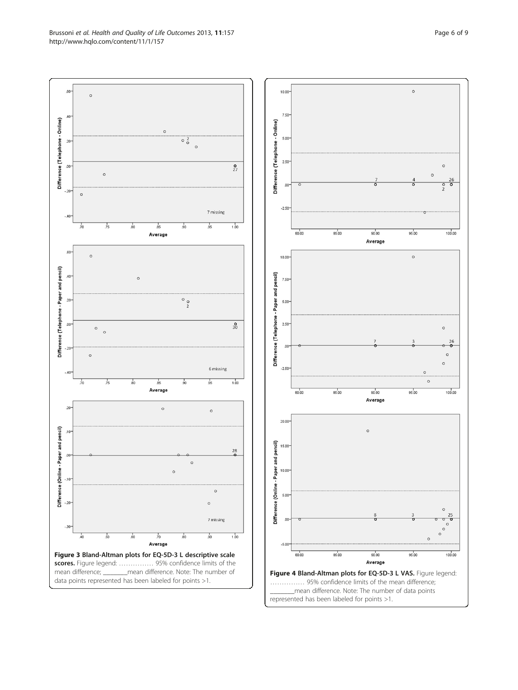<span id="page-5-0"></span>Brussoni et al. Health and Quality of Life Outcomes 2013, 11:157 Page 6 of 9 http://www.hqlo.com/content/11/1/157



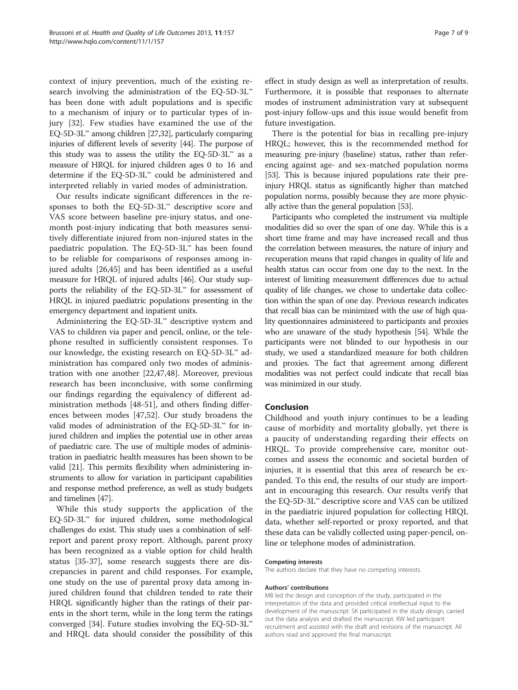context of injury prevention, much of the existing research involving the administration of the EQ-5D-3L™ has been done with adult populations and is specific to a mechanism of injury or to particular types of injury [[32\]](#page-7-0). Few studies have examined the use of the EQ-5D-3L™ among children [\[27,32\]](#page-7-0), particularly comparing injuries of different levels of severity [\[44](#page-8-0)]. The purpose of this study was to assess the utility the EQ-5D-3L™ as a measure of HRQL for injured children ages 0 to 16 and determine if the EQ-5D-3L™ could be administered and interpreted reliably in varied modes of administration.

Our results indicate significant differences in the responses to both the EQ-5D-3L™ descriptive score and VAS score between baseline pre-injury status, and onemonth post-injury indicating that both measures sensitively differentiate injured from non-injured states in the paediatric population. The EQ-5D-3L™ has been found to be reliable for comparisons of responses among injured adults [[26](#page-7-0),[45](#page-8-0)] and has been identified as a useful measure for HRQL of injured adults [[46](#page-8-0)]. Our study supports the reliability of the EQ-5D-3L™ for assessment of HRQL in injured paediatric populations presenting in the emergency department and inpatient units.

Administering the EQ-5D-3L™ descriptive system and VAS to children via paper and pencil, online, or the telephone resulted in sufficiently consistent responses. To our knowledge, the existing research on EQ-5D-3L™ administration has compared only two modes of administration with one another [\[22](#page-7-0)[,47,48](#page-8-0)]. Moreover, previous research has been inconclusive, with some confirming our findings regarding the equivalency of different administration methods [[48-51\]](#page-8-0), and others finding differences between modes [\[47,52](#page-8-0)]. Our study broadens the valid modes of administration of the EQ-5D-3L™ for injured children and implies the potential use in other areas of paediatric care. The use of multiple modes of administration in paediatric health measures has been shown to be valid [\[21\]](#page-7-0). This permits flexibility when administering instruments to allow for variation in participant capabilities and response method preference, as well as study budgets and timelines [\[47\]](#page-8-0).

While this study supports the application of the EQ-5D-3L™ for injured children, some methodological challenges do exist. This study uses a combination of selfreport and parent proxy report. Although, parent proxy has been recognized as a viable option for child health status [\[35](#page-7-0)-[37\]](#page-7-0), some research suggests there are discrepancies in parent and child responses. For example, one study on the use of parental proxy data among injured children found that children tended to rate their HRQL significantly higher than the ratings of their parents in the short term, while in the long term the ratings converged [\[34\]](#page-7-0). Future studies involving the EQ-5D-3L™ and HRQL data should consider the possibility of this effect in study design as well as interpretation of results. Furthermore, it is possible that responses to alternate modes of instrument administration vary at subsequent post-injury follow-ups and this issue would benefit from future investigation.

There is the potential for bias in recalling pre-injury HRQL; however, this is the recommended method for measuring pre-injury (baseline) status, rather than referencing against age- and sex-matched population norms [[53](#page-8-0)]. This is because injured populations rate their preinjury HRQL status as significantly higher than matched population norms, possibly because they are more physically active than the general population [[53](#page-8-0)].

Participants who completed the instrument via multiple modalities did so over the span of one day. While this is a short time frame and may have increased recall and thus the correlation between measures, the nature of injury and recuperation means that rapid changes in quality of life and health status can occur from one day to the next. In the interest of limiting measurement differences due to actual quality of life changes, we chose to undertake data collection within the span of one day. Previous research indicates that recall bias can be minimized with the use of high quality questionnaires administered to participants and proxies who are unaware of the study hypothesis [[54](#page-8-0)]. While the participants were not blinded to our hypothesis in our study, we used a standardized measure for both children and proxies. The fact that agreement among different modalities was not perfect could indicate that recall bias was minimized in our study.

#### Conclusion

Childhood and youth injury continues to be a leading cause of morbidity and mortality globally, yet there is a paucity of understanding regarding their effects on HRQL. To provide comprehensive care, monitor outcomes and assess the economic and societal burden of injuries, it is essential that this area of research be expanded. To this end, the results of our study are important in encouraging this research. Our results verify that the EQ-5D-3L™ descriptive score and VAS can be utilized in the paediatric injured population for collecting HRQL data, whether self-reported or proxy reported, and that these data can be validly collected using paper-pencil, online or telephone modes of administration.

#### Competing interests

The authors declare that they have no competing interests.

#### Authors' contributions

MB led the design and conception of the study, participated in the interpretation of the data and provided critical intellectual input to the development of the manuscript. SK participated in the study design, carried out the data analysis and drafted the manuscript. KW led participant recruitment and assisted with the draft and revisions of the manuscript. All authors read and approved the final manuscript.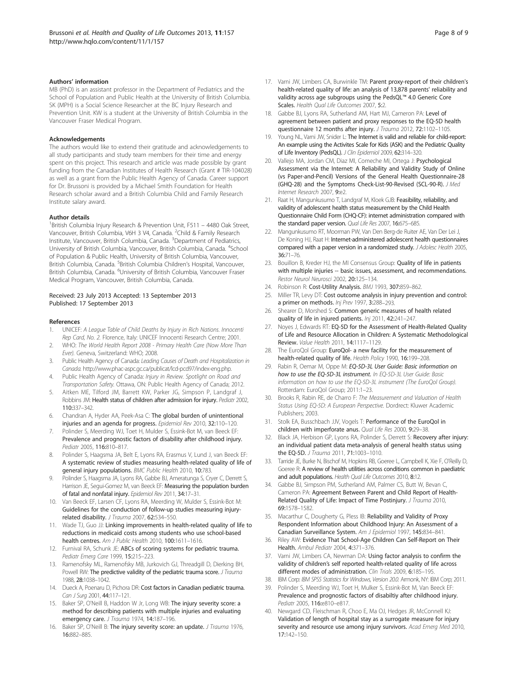#### <span id="page-7-0"></span>Authors' information

MB (PhD) is an assistant professor in the Department of Pediatrics and the School of Population and Public Health at the University of British Columbia. SK (MPH) is a Social Science Researcher at the BC Injury Research and Prevention Unit. KW is a student at the University of British Columbia in the Vancouver Fraser Medical Program.

#### Acknowledgements

The authors would like to extend their gratitude and acknowledgements to all study participants and study team members for their time and energy spent on this project. This research and article was made possible by grant funding from the Canadian Institutes of Health Research (Grant # TIR-104028) as well as a grant from the Public Health Agency of Canada. Career support for Dr. Brussoni is provided by a Michael Smith Foundation for Health Research scholar award and a British Columbia Child and Family Research Institute salary award.

#### Author details

<sup>1</sup> British Columbia Injury Research & Prevention Unit, F511 - 4480 Oak Street, Vancouver, British Columbia, V6H 3 V4, Canada. <sup>2</sup>Child & Family Research Institute, Vancouver, British Columbia, Canada. <sup>3</sup>Department of Pediatrics, University of British Columbia, Vancouver, British Columbia, Canada. <sup>4</sup>School of Population & Public Health, University of British Columbia, Vancouver, British Columbia, Canada. <sup>5</sup>British Columbia Children's Hospital, Vancouver, British Columbia, Canada. <sup>6</sup>University of British Columbia, Vancouver Fraser Medical Program, Vancouver, British Columbia, Canada.

#### Received: 23 July 2013 Accepted: 13 September 2013 Published: 17 September 2013

#### References

- UNICEF: A League Table of Child Deaths by Injury in Rich Nations. Innocenti Rep Card, No. 2. Florence, Italy: UNICEF Innocenti Research Centre; 2001.
- 2. WHO: The World Health Report 2008 Primary Health Care (Now More Than Ever). Geneva, Switzerland: WHO; 2008.
- 3. Public Health Agency of Canada: Leading Causes of Death and Hospitalization in Canada. <http://www.phac-aspc.gc.ca/publicat/lcd-pcd97/index-eng.php>.
- 4. Public Health Agency of Canada: Injury in Review. Spotlight on Road and Transportation Safety. Ottawa, ON: Public Health Agency of Canada; 2012.
- 5. Aitken ME, Tilford JM, Barrett KW, Parker JG, Simpson P, Landgraf J, Robbins JM: Health status of children after admission for injury. Pediatr 2002, 110:337–342.
- 6. Chandran A, Hyder AA, Peek-Asa C: The global burden of unintentional injuries and an agenda for progress. Epidemiol Rev 2010, 32:110–120.
- 7. Polinder S, Meerding WJ, Toet H, Mulder S, Essink-Bot M, van Beeck EF: Prevalence and prognostic factors of disability after childhood injury. Pediatr 2005, 116:810–817.
- 8. Polinder S, Haagsma JA, Belt E, Lyons RA, Erasmus V, Lund J, van Beeck EF: A systematic review of studies measuring health-related quality of life of general injury populations. BMC Public Health 2010, 10:783.
- 9. Polinder S, Haagsma JA, Lyons RA, Gabbe BJ, Ameratunga S, Cryer C, Derrett S, Harrison JE, Segui-Gomez M, van Beeck EF: Measuring the population burden of fatal and nonfatal injury. Epidemiol Rev 2011, 34:17–31.
- 10. Van Beeck EF, Larsen CF, Lyons RA, Meerding W, Mulder S, Essink-Bot M: Guidelines for the conduction of follow-up studies measuring injuryrelated disability. J Trauma 2007, 62:534-550.
- 11. Wade TJ, Guo JJ: Linking improvements in health-related quality of life to reductions in medicaid costs among students who use school-based health centres. Am J Public Health 2010, 100:1611–1616.
- 12. Furnival RA, Schunk JE: ABCs of scoring systems for pediatric trauma. Pediatr Emerg Care 1999, 15:215–223.
- 13. Ramenofsky ML, Ramenofsky MB, Jurkovich GJ, Threadgill D, Dierking BH, Powell RW: The predictive validity of the pediatric trauma score. J Trauma 1988, 28:1038–1042.
- 14. Dueck A, Poenaru D, Pichora DR: Cost factors in Canadian pediatric trauma. Can J Surg 2001, 44:117–121.
- 15. Baker SP, O'Neill B, Haddon W Jr, Long WB: The injury severity score: a method for describing patients with multiple injuries and evaluating emergency care. J Trauma 1974, 14:187-196.
- 16. Baker SP, O'Neill B: The injury severity score: an update. J Trauma 1976, 16:882–885.
- 17. Varni JW, Limbers CA, Burwinkle TM: Parent proxy-report of their children's health-related quality of life: an analysis of 13,878 parents' reliability and validity across age subgroups using the PedsQL™ 4.0 Generic Core Scales. Health Qual Life Outcomes 2007, 5:2.
- 18. Gabbe BJ, Lyons RA, Sutherland AM, Hart MJ, Cameron PA: Level of agreement between patient and proxy responses to the EQ-5D health questionnaire 12 months after injury. J Trauma 2012, 72:1102–1105.
- 19. Young NL, Varni JW, Snider L: The Internet is valid and reliable for child-report: An example using the Activites Scale for Kids (ASK) and the Pediatric Quality of Life Inventory (PedsQL). J Clin Epidemiol 2009, 62:314-320.
- 20. Vallejo MA, Jordan CM, Diaz MI, Comeche MI, Ortega J: Psychological Assessment via the Internet: A Reliability and Validity Study of Online (vs Paper-and-Pencil) Versions of the General Health Questionnaire-28 (GHQ-28) and the Symptoms Check-List-90-Revised (SCL-90-R). J Med Internet Research 2007, 9:e2.
- 21. Raat H, Mangunkusumo T, Landgraf M, Kloek GJB: Feasibility, reliability, and validity of adolescent health status measurement by the Child Health Questionnaire Child Form (CHQ-CF): internet administration compared with the standard paper version. *Qual Life Res* 2007, 16:675-685.
- 22. Mangunkusumo RT, Moorman PW, Van Den Berg-de Ruiter AE, Van Der Lei J, De Koning HJ, Raat H: Internet-administered adolescent health questionnaires compared with a paper version in a randomized study. J Adolesc Health 2005, 36:71–76.
- 23. Bouillon B, Kreder HJ, the MI Consensus Group: Quality of life in patients with multiple injuries -- basic issues, assessment, and recommendations. Restor Neurol Neurosci 2002, 20:125–134.
- 24. Robinson R: Cost-Utility Analysis. BMJ 1993, 307:859-862.
- 25. Miller TR, Levy DT: Cost outcome analysis in injury prevention and control: a primer on methods. Inj Prev 1997, 3:288-293.
- 26. Shearer D, Morshed S: Common generic measures of health related quality of life in injured patients. Inj 2011, 42:241–247.
- 27. Noyes J, Edwards RT: EQ-5D for the Assessment of Health-Related Quality of Life and Resource Allocation in Children: A Systematic Methodological Review. Value Health 2011, 14:1117–1129.
- 28. The EuroQol Group: EuroQol- a new facility for the measurement of health-related quality of life. Health Policy 1990, 16:199–208.
- 29. Rabin R, Oemar M, Oppe M: EQ-5D-3L User Guide: Basic information on how to use the EQ-5D-3L instrument. In EQ-5D-3L User Guide: Basic information on how to use the EQ-5D-3L instrument (The EuroQol Group). Rotterdam: EuroQol Group; 2011:1–23.
- 30. Brooks R, Rabin RE, de Charro F: The Measurement and Valuation of Health Status Using EQ-5D: A European Perspective. Dordrect: Kluwer Academic Publishers; 2003.
- 31. Stolk EA, Busschbach JJV, Vogels T: Performance of the EuroQol in children with imperforate anus. Qual Life Res 2000, 9:29–38.
- 32. Black JA, Herbison GP, Lyons RA, Polinder S, Derrett S: Recovery after injury: an individual patient data meta-analysis of general health status using the EQ-5D. J Trauma 2011, 71:1003–1010.
- 33. Tarride JE, Burke N, Bischof M, Hopkins RB, Goeree L, Campbell K, Xie F, O'Reilly D, Goeree R: A review of health utilities across conditions common in paediatric and adult populations. Health Qual Life Outcomes 2010, 8:12.
- 34. Gabbe BJ, Simpson PM, Sutherland AM, Palmer CS, Butt W, Bevan C, Cameron PA: Agreement Between Parent and Child Report of Health-Related Quality of Life: Impact of Time Postinjury. J Trauma 2010, 69:1578–1582.
- 35. Macarthur C, Dougherty G, Pless IB: Reliability and Validity of Proxy Respondent Information about Childhood Injury: An Assessment of a Canadian Surveillance System. Am J Epidemiol 1997, 145:834–841.
- 36. Riley AW: Evidence That School-Age Children Can Self-Report on Their Health. Ambul Pediatr 2004, 4:371–376.
- 37. Varni JW, Limbers CA, Newman DA: Using factor analysis to confirm the validity of children's self reported health-related quality of life across different modes of administration. Clin Trials 2009, 6:185-195.
- IBM Corp: IBM SPSS Statistics for Windows, Version 20.0. Armonk, NY: IBM Corp; 2011.
- 39. Polinder S, Meerding WJ, Toet H, Mulker S, Essink-Bot M, Van Beeck EF: Prevalence and prognostic factors of disabiltiy after childhood injury. Pediatr 2005, 116:e810–e817.
- 40. Newgard CD, Fleischman R, Choo E, Ma OJ, Hedges JR, McConnell KJ: Validation of length of hospital stay as a surrogate measure for injury severity and resource use among injury survivors. Acad Emerg Med 2010, 17:142–150.